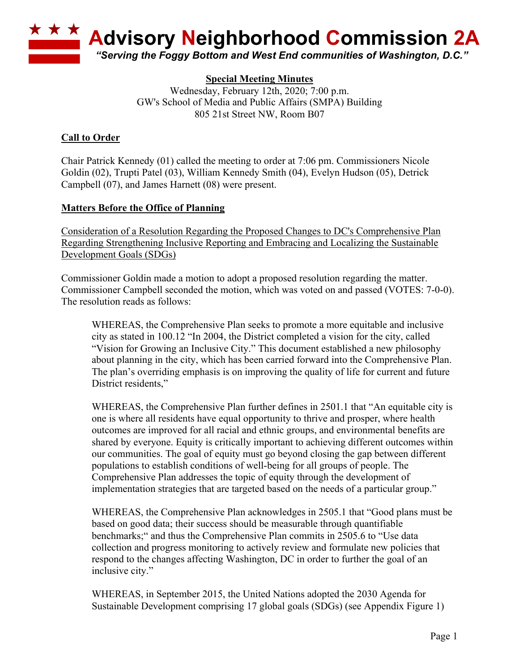

### **Special Meeting Minutes**

Wednesday, February 12th, 2020; 7:00 p.m. GW's School of Media and Public Affairs (SMPA) Building 805 21st Street NW, Room B07

#### **Call to Order**

Chair Patrick Kennedy (01) called the meeting to order at 7:06 pm. Commissioners Nicole Goldin (02), Trupti Patel (03), William Kennedy Smith (04), Evelyn Hudson (05), Detrick Campbell (07), and James Harnett (08) were present.

#### **Matters Before the Office of Planning**

Consideration of a Resolution Regarding the Proposed Changes to DC's Comprehensive Plan Regarding Strengthening Inclusive Reporting and Embracing and Localizing the Sustainable Development Goals (SDGs)

Commissioner Goldin made a motion to adopt a proposed resolution regarding the matter. Commissioner Campbell seconded the motion, which was voted on and passed (VOTES: 7-0-0). The resolution reads as follows:

WHEREAS, the Comprehensive Plan seeks to promote a more equitable and inclusive city as stated in 100.12 "In 2004, the District completed a vision for the city, called "Vision for Growing an Inclusive City." This document established a new philosophy about planning in the city, which has been carried forward into the Comprehensive Plan. The plan's overriding emphasis is on improving the quality of life for current and future District residents,"

WHEREAS, the Comprehensive Plan further defines in 2501.1 that "An equitable city is one is where all residents have equal opportunity to thrive and prosper, where health outcomes are improved for all racial and ethnic groups, and environmental benefits are shared by everyone. Equity is critically important to achieving different outcomes within our communities. The goal of equity must go beyond closing the gap between different populations to establish conditions of well-being for all groups of people. The Comprehensive Plan addresses the topic of equity through the development of implementation strategies that are targeted based on the needs of a particular group."

WHEREAS, the Comprehensive Plan acknowledges in 2505.1 that "Good plans must be based on good data; their success should be measurable through quantifiable benchmarks;" and thus the Comprehensive Plan commits in 2505.6 to "Use data collection and progress monitoring to actively review and formulate new policies that respond to the changes affecting Washington, DC in order to further the goal of an inclusive city."

WHEREAS, in September 2015, the United Nations adopted the 2030 Agenda for Sustainable Development comprising 17 global goals (SDGs) (see Appendix Figure 1)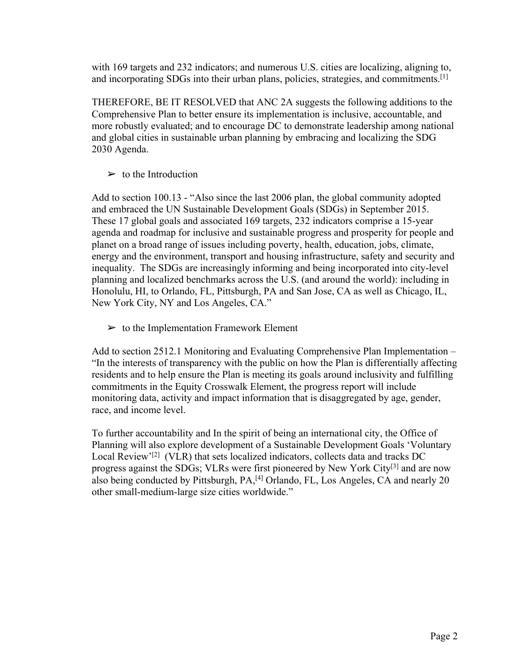with 169 targets and 232 indicators; and numerous U.S. cities are localizing, aligning to, and incorporating SDGs into their urban plans, policies, strategies, and commitments.<sup>[1]</sup>

THEREFORE, BE IT RESOLVED that ANC 2A suggests the following additions to the Comprehensive Plan to better ensure its implementation is inclusive, accountable, and more robustly evaluated; and to encourage DC to demonstrate leadership among national and global cities in sustainable urban planning by embracing and localizing the SDG 2030 Agenda.

 $\triangleright$  to the Introduction

Add to section 100.13 - "Also since the last 2006 plan, the global community adopted and embraced the UN Sustainable Development Goals (SDGs) in September 2015. These 17 global goals and associated 169 targets, 232 indicators comprise a 15-year agenda and roadmap for inclusive and sustainable progress and prosperity for people and planet on a broad range of issues including poverty, health, education, jobs, climate, energy and the environment, transport and housing infrastructure, safety and security and inequality. The SDGs are increasingly informing and being incorporated into city-level planning and localized benchmarks across the U.S. (and around the world): including in Honolulu, HI, to Orlando, FL, Pittsburgh, PA and San Jose, CA as well as Chicago, IL, New York City, NY and Los Angeles, CA."

 $\triangleright$  to the Implementation Framework Element

Add to section 2512.1 Monitoring and Evaluating Comprehensive Plan Implementation – "In the interests of transparency with the public on how the Plan is differentially affecting residents and to help ensure the Plan is meeting its goals around inclusivity and fulfilling commitments in the Equity Crosswalk Element, the progress report will include monitoring data, activity and impact information that is disaggregated by age, gender, race, and income level.

To further accountability and In the spirit of being an international city, the Office of Planning will also explore development of a Sustainable Development Goals 'Voluntary Local Review'<sup>[2]</sup> (VLR) that sets localized indicators, collects data and tracks DC progress against the SDGs; VLRs were first pioneered by New York City<sup>[3]</sup> and are now also being conducted by Pittsburgh, PA,<sup>[4]</sup> Orlando, FL, Los Angeles, CA and nearly 20 other small-medium-large size cities worldwide."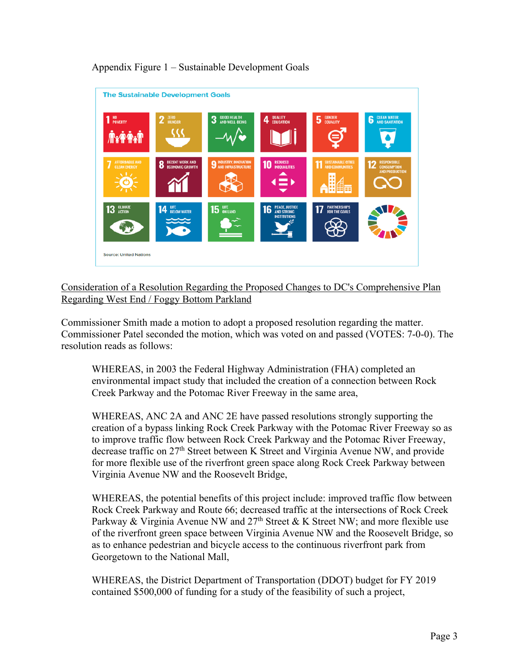

## Appendix Figure 1 – Sustainable Development Goals

Consideration of a Resolution Regarding the Proposed Changes to DC's Comprehensive Plan Regarding West End / Foggy Bottom Parkland

Commissioner Smith made a motion to adopt a proposed resolution regarding the matter. Commissioner Patel seconded the motion, which was voted on and passed (VOTES: 7-0-0). The resolution reads as follows:

WHEREAS, in 2003 the Federal Highway Administration (FHA) completed an environmental impact study that included the creation of a connection between Rock Creek Parkway and the Potomac River Freeway in the same area,

WHEREAS, ANC 2A and ANC 2E have passed resolutions strongly supporting the creation of a bypass linking Rock Creek Parkway with the Potomac River Freeway so as to improve traffic flow between Rock Creek Parkway and the Potomac River Freeway, decrease traffic on 27th Street between K Street and Virginia Avenue NW, and provide for more flexible use of the riverfront green space along Rock Creek Parkway between Virginia Avenue NW and the Roosevelt Bridge,

WHEREAS, the potential benefits of this project include: improved traffic flow between Rock Creek Parkway and Route 66; decreased traffic at the intersections of Rock Creek Parkway & Virginia Avenue NW and  $27<sup>th</sup>$  Street & K Street NW; and more flexible use of the riverfront green space between Virginia Avenue NW and the Roosevelt Bridge, so as to enhance pedestrian and bicycle access to the continuous riverfront park from Georgetown to the National Mall,

WHEREAS, the District Department of Transportation (DDOT) budget for FY 2019 contained \$500,000 of funding for a study of the feasibility of such a project,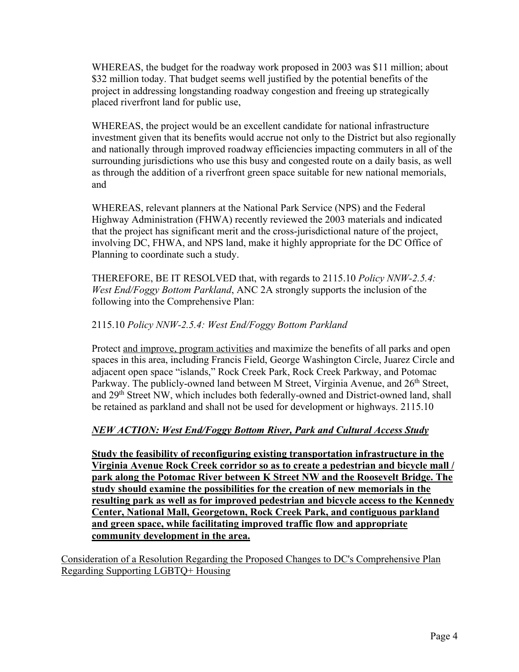WHEREAS, the budget for the roadway work proposed in 2003 was \$11 million; about \$32 million today. That budget seems well justified by the potential benefits of the project in addressing longstanding roadway congestion and freeing up strategically placed riverfront land for public use,

WHEREAS, the project would be an excellent candidate for national infrastructure investment given that its benefits would accrue not only to the District but also regionally and nationally through improved roadway efficiencies impacting commuters in all of the surrounding jurisdictions who use this busy and congested route on a daily basis, as well as through the addition of a riverfront green space suitable for new national memorials, and

WHEREAS, relevant planners at the National Park Service (NPS) and the Federal Highway Administration (FHWA) recently reviewed the 2003 materials and indicated that the project has significant merit and the cross-jurisdictional nature of the project, involving DC, FHWA, and NPS land, make it highly appropriate for the DC Office of Planning to coordinate such a study.

THEREFORE, BE IT RESOLVED that, with regards to 2115.10 *Policy NNW-2.5.4: West End/Foggy Bottom Parkland*, ANC 2A strongly supports the inclusion of the following into the Comprehensive Plan:

## 2115.10 *Policy NNW-2.5.4: West End/Foggy Bottom Parkland*

Protect and improve, program activities and maximize the benefits of all parks and open spaces in this area, including Francis Field, George Washington Circle, Juarez Circle and adjacent open space "islands," Rock Creek Park, Rock Creek Parkway, and Potomac Parkway. The publicly-owned land between M Street, Virginia Avenue, and 26<sup>th</sup> Street, and 29th Street NW, which includes both federally-owned and District-owned land, shall be retained as parkland and shall not be used for development or highways. 2115.10

# *NEW ACTION: West End/Foggy Bottom River, Park and Cultural Access Study*

**Study the feasibility of reconfiguring existing transportation infrastructure in the Virginia Avenue Rock Creek corridor so as to create a pedestrian and bicycle mall / park along the Potomac River between K Street NW and the Roosevelt Bridge. The study should examine the possibilities for the creation of new memorials in the resulting park as well as for improved pedestrian and bicycle access to the Kennedy Center, National Mall, Georgetown, Rock Creek Park, and contiguous parkland and green space, while facilitating improved traffic flow and appropriate community development in the area.**

Consideration of a Resolution Regarding the Proposed Changes to DC's Comprehensive Plan Regarding Supporting LGBTQ+ Housing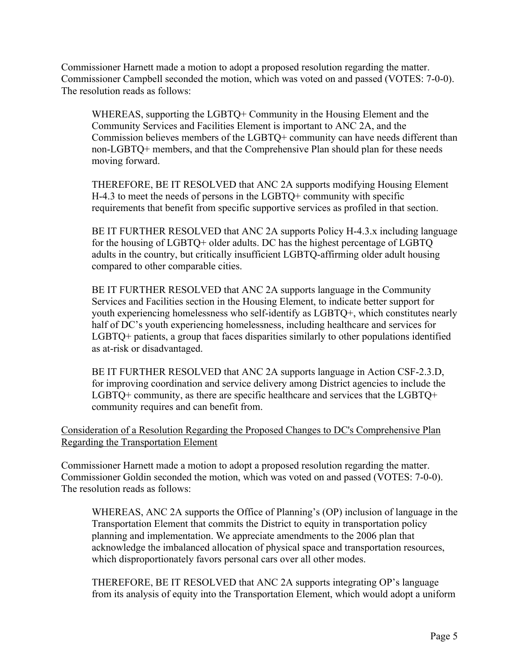Commissioner Harnett made a motion to adopt a proposed resolution regarding the matter. Commissioner Campbell seconded the motion, which was voted on and passed (VOTES: 7-0-0). The resolution reads as follows:

WHEREAS, supporting the LGBTQ+ Community in the Housing Element and the Community Services and Facilities Element is important to ANC 2A, and the Commission believes members of the LGBTQ+ community can have needs different than non-LGBTQ+ members, and that the Comprehensive Plan should plan for these needs moving forward.

THEREFORE, BE IT RESOLVED that ANC 2A supports modifying Housing Element H-4.3 to meet the needs of persons in the LGBTQ+ community with specific requirements that benefit from specific supportive services as profiled in that section.

BE IT FURTHER RESOLVED that ANC 2A supports Policy H-4.3.x including language for the housing of LGBTQ+ older adults. DC has the highest percentage of LGBTQ adults in the country, but critically insufficient LGBTQ-affirming older adult housing compared to other comparable cities.

BE IT FURTHER RESOLVED that ANC 2A supports language in the Community Services and Facilities section in the Housing Element, to indicate better support for youth experiencing homelessness who self-identify as LGBTQ+, which constitutes nearly half of DC's youth experiencing homelessness, including healthcare and services for LGBTQ+ patients, a group that faces disparities similarly to other populations identified as at-risk or disadvantaged.

BE IT FURTHER RESOLVED that ANC 2A supports language in Action CSF-2.3.D, for improving coordination and service delivery among District agencies to include the LGBTQ+ community, as there are specific healthcare and services that the LGBTQ+ community requires and can benefit from.

## Consideration of a Resolution Regarding the Proposed Changes to DC's Comprehensive Plan Regarding the Transportation Element

Commissioner Harnett made a motion to adopt a proposed resolution regarding the matter. Commissioner Goldin seconded the motion, which was voted on and passed (VOTES: 7-0-0). The resolution reads as follows:

WHEREAS, ANC 2A supports the Office of Planning's (OP) inclusion of language in the Transportation Element that commits the District to equity in transportation policy planning and implementation. We appreciate amendments to the 2006 plan that acknowledge the imbalanced allocation of physical space and transportation resources, which disproportionately favors personal cars over all other modes.

THEREFORE, BE IT RESOLVED that ANC 2A supports integrating OP's language from its analysis of equity into the Transportation Element, which would adopt a uniform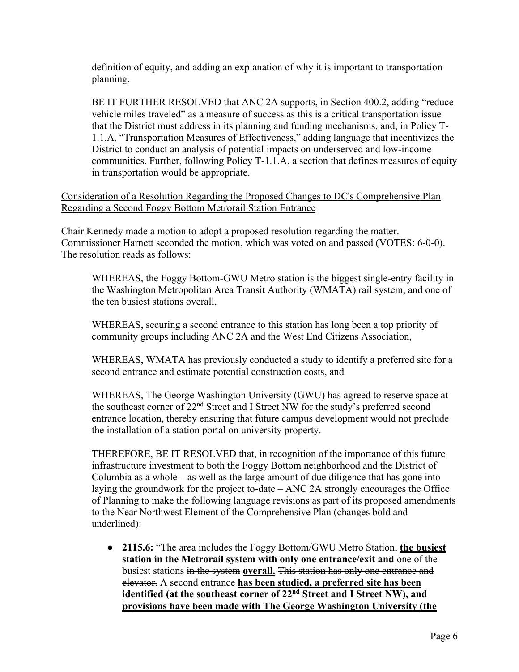definition of equity, and adding an explanation of why it is important to transportation planning.

BE IT FURTHER RESOLVED that ANC 2A supports, in Section 400.2, adding "reduce vehicle miles traveled" as a measure of success as this is a critical transportation issue that the District must address in its planning and funding mechanisms, and, in Policy T-1.1.A, "Transportation Measures of Effectiveness," adding language that incentivizes the District to conduct an analysis of potential impacts on underserved and low-income communities. Further, following Policy T-1.1.A, a section that defines measures of equity in transportation would be appropriate.

Consideration of a Resolution Regarding the Proposed Changes to DC's Comprehensive Plan Regarding a Second Foggy Bottom Metrorail Station Entrance

Chair Kennedy made a motion to adopt a proposed resolution regarding the matter. Commissioner Harnett seconded the motion, which was voted on and passed (VOTES: 6-0-0). The resolution reads as follows:

WHEREAS, the Foggy Bottom-GWU Metro station is the biggest single-entry facility in the Washington Metropolitan Area Transit Authority (WMATA) rail system, and one of the ten busiest stations overall,

WHEREAS, securing a second entrance to this station has long been a top priority of community groups including ANC 2A and the West End Citizens Association,

WHEREAS, WMATA has previously conducted a study to identify a preferred site for a second entrance and estimate potential construction costs, and

WHEREAS, The George Washington University (GWU) has agreed to reserve space at the southeast corner of 22<sup>nd</sup> Street and I Street NW for the study's preferred second entrance location, thereby ensuring that future campus development would not preclude the installation of a station portal on university property.

THEREFORE, BE IT RESOLVED that, in recognition of the importance of this future infrastructure investment to both the Foggy Bottom neighborhood and the District of Columbia as a whole – as well as the large amount of due diligence that has gone into laying the groundwork for the project to-date – ANC 2A strongly encourages the Office of Planning to make the following language revisions as part of its proposed amendments to the Near Northwest Element of the Comprehensive Plan (changes bold and underlined):

● **2115.6:** "The area includes the Foggy Bottom/GWU Metro Station, **the busiest station in the Metrorail system with only one entrance/exit and** one of the busiest stations in the system **overall.** This station has only one entrance and elevator. A second entrance **has been studied, a preferred site has been identified (at the southeast corner of 22nd Street and I Street NW), and provisions have been made with The George Washington University (the**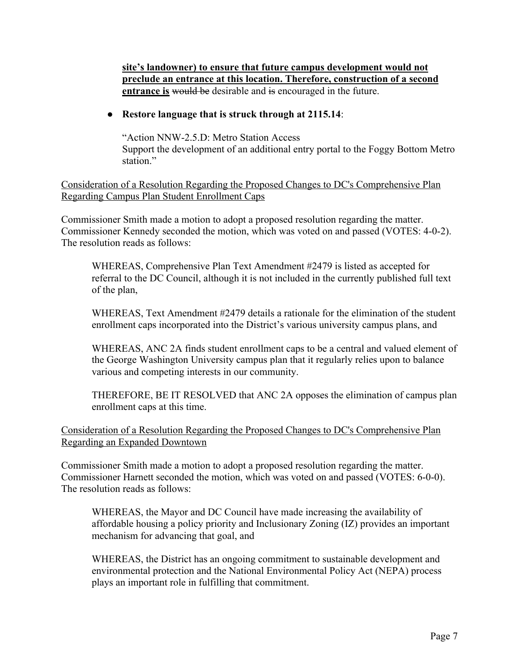**site's landowner) to ensure that future campus development would not preclude an entrance at this location. Therefore, construction of a second entrance is would be** desirable and is encouraged in the future.

### ● **Restore language that is struck through at 2115.14**:

"Action NNW-2.5.D: Metro Station Access Support the development of an additional entry portal to the Foggy Bottom Metro station."

Consideration of a Resolution Regarding the Proposed Changes to DC's Comprehensive Plan Regarding Campus Plan Student Enrollment Caps

Commissioner Smith made a motion to adopt a proposed resolution regarding the matter. Commissioner Kennedy seconded the motion, which was voted on and passed (VOTES: 4-0-2). The resolution reads as follows:

WHEREAS, Comprehensive Plan Text Amendment #2479 is listed as accepted for referral to the DC Council, although it is not included in the currently published full text of the plan,

WHEREAS, Text Amendment #2479 details a rationale for the elimination of the student enrollment caps incorporated into the District's various university campus plans, and

WHEREAS, ANC 2A finds student enrollment caps to be a central and valued element of the George Washington University campus plan that it regularly relies upon to balance various and competing interests in our community.

THEREFORE, BE IT RESOLVED that ANC 2A opposes the elimination of campus plan enrollment caps at this time.

## Consideration of a Resolution Regarding the Proposed Changes to DC's Comprehensive Plan Regarding an Expanded Downtown

Commissioner Smith made a motion to adopt a proposed resolution regarding the matter. Commissioner Harnett seconded the motion, which was voted on and passed (VOTES: 6-0-0). The resolution reads as follows:

WHEREAS, the Mayor and DC Council have made increasing the availability of affordable housing a policy priority and Inclusionary Zoning (IZ) provides an important mechanism for advancing that goal, and

WHEREAS, the District has an ongoing commitment to sustainable development and environmental protection and the National Environmental Policy Act (NEPA) process plays an important role in fulfilling that commitment.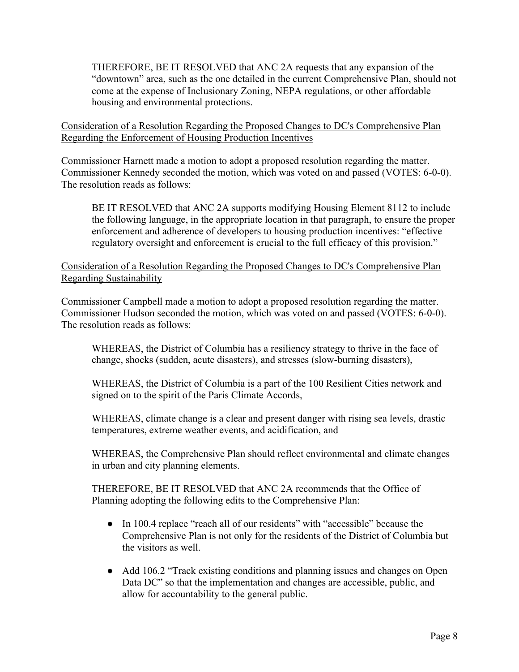THEREFORE, BE IT RESOLVED that ANC 2A requests that any expansion of the "downtown" area, such as the one detailed in the current Comprehensive Plan, should not come at the expense of Inclusionary Zoning, NEPA regulations, or other affordable housing and environmental protections.

Consideration of a Resolution Regarding the Proposed Changes to DC's Comprehensive Plan Regarding the Enforcement of Housing Production Incentives

Commissioner Harnett made a motion to adopt a proposed resolution regarding the matter. Commissioner Kennedy seconded the motion, which was voted on and passed (VOTES: 6-0-0). The resolution reads as follows:

BE IT RESOLVED that ANC 2A supports modifying Housing Element 8112 to include the following language, in the appropriate location in that paragraph, to ensure the proper enforcement and adherence of developers to housing production incentives: "effective regulatory oversight and enforcement is crucial to the full efficacy of this provision."

Consideration of a Resolution Regarding the Proposed Changes to DC's Comprehensive Plan Regarding Sustainability

Commissioner Campbell made a motion to adopt a proposed resolution regarding the matter. Commissioner Hudson seconded the motion, which was voted on and passed (VOTES: 6-0-0). The resolution reads as follows:

WHEREAS, the District of Columbia has a resiliency strategy to thrive in the face of change, shocks (sudden, acute disasters), and stresses (slow-burning disasters),

WHEREAS, the District of Columbia is a part of the 100 Resilient Cities network and signed on to the spirit of the Paris Climate Accords,

WHEREAS, climate change is a clear and present danger with rising sea levels, drastic temperatures, extreme weather events, and acidification, and

WHEREAS, the Comprehensive Plan should reflect environmental and climate changes in urban and city planning elements.

THEREFORE, BE IT RESOLVED that ANC 2A recommends that the Office of Planning adopting the following edits to the Comprehensive Plan:

- In 100.4 replace "reach all of our residents" with "accessible" because the Comprehensive Plan is not only for the residents of the District of Columbia but the visitors as well.
- Add 106.2 "Track existing conditions and planning issues and changes on Open Data DC" so that the implementation and changes are accessible, public, and allow for accountability to the general public.